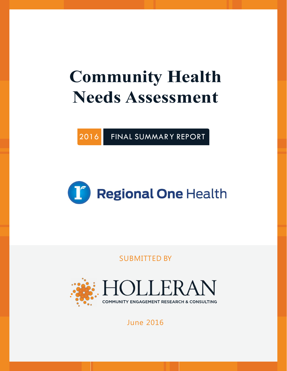# **Community Health Needs Assessment**

2016 FINAL SUMMAR Y REPORT



SUBMITTED BY



# June 2016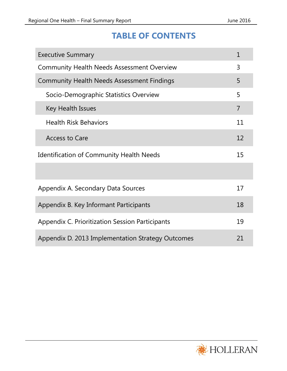# **TABLE OF CONTENTS**

| <b>Executive Summary</b>                          |                |  |  |  |
|---------------------------------------------------|----------------|--|--|--|
| <b>Community Health Needs Assessment Overview</b> | 3              |  |  |  |
| <b>Community Health Needs Assessment Findings</b> | 5              |  |  |  |
| Socio-Demographic Statistics Overview             | 5              |  |  |  |
| Key Health Issues                                 | $\overline{7}$ |  |  |  |
| <b>Health Risk Behaviors</b>                      | 11             |  |  |  |
| <b>Access to Care</b>                             | 12             |  |  |  |
| <b>Identification of Community Health Needs</b>   |                |  |  |  |
|                                                   |                |  |  |  |
| Appendix A. Secondary Data Sources                | 17             |  |  |  |
| Appendix B. Key Informant Participants            |                |  |  |  |
| Appendix C. Prioritization Session Participants   | 19             |  |  |  |
| Appendix D. 2013 Implementation Strategy Outcomes | 21             |  |  |  |

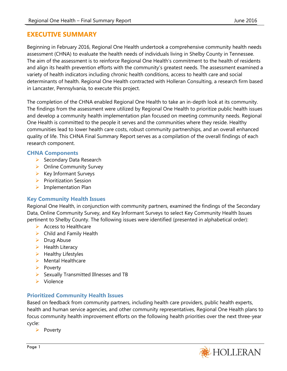## **EXECUTIVE SUMMARY**

Beginning in February 2016, Regional One Health undertook a comprehensive community health needs assessment (CHNA) to evaluate the health needs of individuals living in Shelby County in Tennessee. The aim of the assessment is to reinforce Regional One Health's commitment to the health of residents and align its health prevention efforts with the community's greatest needs. The assessment examined a variety of health indicators including chronic health conditions, access to health care and social determinants of health. Regional One Health contracted with Holleran Consulting, a research firm based in Lancaster, Pennsylvania, to execute this project.

The completion of the CHNA enabled Regional One Health to take an in-depth look at its community. The findings from the assessment were utilized by Regional One Health to prioritize public health issues and develop a community health implementation plan focused on meeting community needs. Regional One Health is committed to the people it serves and the communities where they reside. Healthy communities lead to lower health care costs, robust community partnerships, and an overall enhanced quality of life. This CHNA Final Summary Report serves as a compilation of the overall findings of each research component.

#### **CHNA Components**

- $\triangleright$  Secondary Data Research
- $\triangleright$  Online Community Survey
- $\triangleright$  Key Informant Surveys
- $\triangleright$  Prioritization Session
- $\triangleright$  Implementation Plan

#### **Key Community Health Issues**

Regional One Health, in conjunction with community partners, examined the findings of the Secondary Data, Online Community Survey, and Key Informant Surveys to select Key Community Health Issues pertinent to Shelby County. The following issues were identified (presented in alphabetical order):

- $\triangleright$  Access to Healthcare
- $\triangleright$  Child and Family Health
- $\triangleright$  Drug Abuse
- $\blacktriangleright$  Health Literacy
- $\blacktriangleright$  Healthy Lifestyles
- $\triangleright$  Mental Healthcare
- $\triangleright$  Poverty
- $\triangleright$  Sexually Transmitted Illnesses and TB
- $\triangleright$  Violence

## **Prioritized Community Health Issues**

Based on feedback from community partners, including health care providers, public health experts, health and human service agencies, and other community representatives, Regional One Health plans to focus community health improvement efforts on the following health priorities over the next three-year cycle:

 $\triangleright$  Poverty

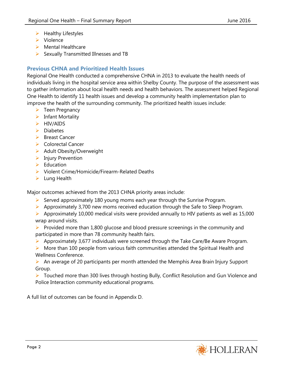- $\blacktriangleright$  Healthy Lifestyles
- $\triangleright$  Violence
- $\triangleright$  Mental Healthcare
- $\triangleright$  Sexually Transmitted Illnesses and TB

## **Previous CHNA and Prioritized Health Issues**

Regional One Health conducted a comprehensive CHNA in 2013 to evaluate the health needs of individuals living in the hospital service area within Shelby County. The purpose of the assessment was to gather information about local health needs and health behaviors. The assessment helped Regional One Health to identify 11 health issues and develop a community health implementation plan to improve the health of the surrounding community. The prioritized health issues include:

- $\triangleright$  Teen Pregnancy
- $\triangleright$  Infant Mortality
- > HIV/AIDS
- $\triangleright$  Diabetes
- ▶ Breast Cancer
- Colorectal Cancer
- $\triangleright$  Adult Obesity/Overweight
- $\triangleright$  Injury Prevention
- $\triangleright$  Education
- $\triangleright$  Violent Crime/Homicide/Firearm-Related Deaths
- $\blacktriangleright$  Lung Health

Major outcomes achieved from the 2013 CHNA priority areas include:

- Served approximately 180 young moms each year through the Sunrise Program.
- $\triangleright$  Approximately 3,700 new moms received education through the Safe to Sleep Program.
- $\triangleright$  Approximately 10,000 medical visits were provided annually to HIV patients as well as 15,000 wrap around visits.
- **Provided more than 1,800 glucose and blood pressure screenings in the community and** participated in more than 78 community health fairs.
- $\triangleright$  Approximately 3,677 individuals were screened through the Take Care/Be Aware Program.
- $\triangleright$  More than 100 people from various faith communities attended the Spiritual Health and Wellness Conference.
- An average of 20 participants per month attended the Memphis Area Brain Injury Support Group.
- ▶ Touched more than 300 lives through hosting Bully, Conflict Resolution and Gun Violence and Police Interaction community educational programs.

A full list of outcomes can be found in Appendix D.

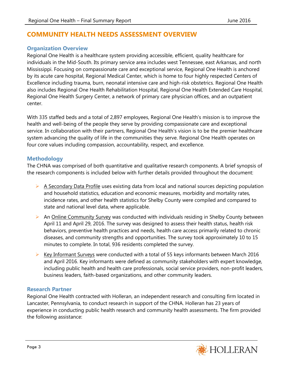## **COMMUNITY HEALTH NEEDS ASSESSMENT OVERVIEW**

#### **Organization Overview**

Regional One Health is a healthcare system providing accessible, efficient, quality healthcare for individuals in the Mid-South. Its primary service area includes west Tennessee, east Arkansas, and north Mississippi. Focusing on compassionate care and exceptional service, Regional One Health is anchored by its acute care hospital, Regional Medical Center, which is home to four highly respected Centers of Excellence including trauma, burn, neonatal intensive care and high-risk obstetrics. Regional One Health also includes Regional One Health Rehabilitation Hospital, Regional One Health Extended Care Hospital, Regional One Health Surgery Center, a network of primary care physician offices, and an outpatient center.

With 335 staffed beds and a total of 2,897 employees, Regional One Health's mission is to improve the health and well-being of the people they serve by providing compassionate care and exceptional service. In collaboration with their partners, Regional One Health's vision is to be the premier healthcare system advancing the quality of life in the communities they serve. Regional One Health operates on four core values including compassion, accountability, respect, and excellence.

#### **Methodology**

The CHNA was comprised of both quantitative and qualitative research components. A brief synopsis of the research components is included below with further details provided throughout the document:

- $\triangleright$  A Secondary Data Profile uses existing data from local and national sources depicting population and household statistics, education and economic measures, morbidity and mortality rates, incidence rates, and other health statistics for Shelby County were compiled and compared to state and national level data, where applicable.
- An Online Community Survey was conducted with individuals residing in Shelby County between April 11 and April 29, 2016. The survey was designed to assess their health status, health risk behaviors, preventive health practices and needs, health care access primarily related to chronic diseases, and community strengths and opportunities. The survey took approximately 10 to 15 minutes to complete. In total, 936 residents completed the survey.
- $\triangleright$  Key Informant Surveys were conducted with a total of 55 keys informants between March 2016 and April 2016. Key informants were defined as community stakeholders with expert knowledge, including public health and health care professionals, social service providers, non-profit leaders, business leaders, faith-based organizations, and other community leaders.

#### **Research Partner**

Regional One Health contracted with Holleran, an independent research and consulting firm located in Lancaster, Pennsylvania, to conduct research in support of the CHNA. Holleran has 23 years of experience in conducting public health research and community health assessments. The firm provided the following assistance:

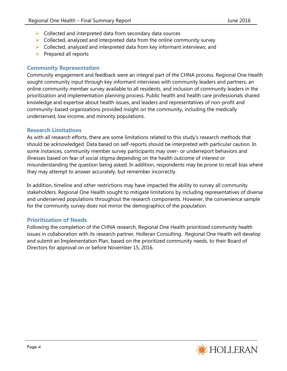- $\triangleright$  Collected and interpreted data from secondary data sources
- $\triangleright$  Collected, analyzed and interpreted data from the online community survey
- $\triangleright$  Collected, analyzed and interpreted data from key informant interviews; and
- $\triangleright$  Prepared all reports

#### **Community Representation**

Community engagement and feedback were an integral part of the CHNA process. Regional One Health sought community input through key informant interviews with community leaders and partners, an online community member survey available to all residents, and inclusion of community leaders in the prioritization and implementation planning process. Public health and health care professionals shared knowledge and expertise about health issues, and leaders and representatives of non-profit and community-based organizations provided insight on the community, including the medically underserved, low income, and minority populations.

#### **Research Limitations**

As with all research efforts, there are some limitations related to this study's research methods that should be acknowledged. Data based on self-reports should be interpreted with particular caution. In some instances, community member survey participants may over- or underreport behaviors and illnesses based on fear of social stigma depending on the health outcome of interest or misunderstanding the question being asked. In addition, respondents may be prone to recall bias where they may attempt to answer accurately, but remember incorrectly.

In addition, timeline and other restrictions may have impacted the ability to survey all community stakeholders. Regional One Health sought to mitigate limitations by including representatives of diverse and underserved populations throughout the research components. However, the convenience sample for the community survey does not mirror the demographics of the population.

#### **Prioritization of Needs**

Following the completion of the CHNA research, Regional One Health prioritized community health issues in collaboration with its research partner, Holleran Consulting. Regional One Health will develop and submit an Implementation Plan, based on the prioritized community needs, to their Board of Directors for approval on or before November 15, 2016.

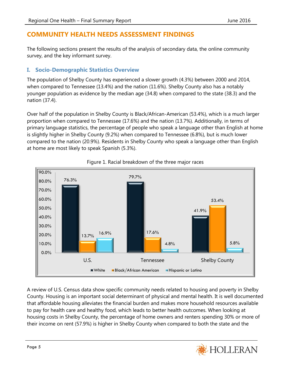## **COMMUNITY HEALTH NEEDS ASSESSMENT FINDINGS**

The following sections present the results of the analysis of secondary data, the online community survey, and the key informant survey.

## **I. Socio-Demographic Statistics Overview**

The population of Shelby County has experienced a slower growth (4.3%) between 2000 and 2014, when compared to Tennessee (13.4%) and the nation (11.6%). Shelby County also has a notably younger population as evidence by the median age (34.8) when compared to the state (38.3) and the nation (37.4).

Over half of the population in Shelby County is Black/African-American (53.4%), which is a much larger proportion when compared to Tennessee (17.6%) and the nation (13.7%). Additionally, in terms of primary language statistics, the percentage of people who speak a language other than English at home is slightly higher in Shelby County (9.2%) when compared to Tennessee (6.8%), but is much lower compared to the nation (20.9%). Residents in Shelby County who speak a language other than English at home are most likely to speak Spanish (5.3%).



#### Figure 1. Racial breakdown of the three major races

A review of U.S. Census data show specific community needs related to housing and poverty in Shelby County. Housing is an important social determinant of physical and mental health. It is well documented that affordable housing alleviates the financial burden and makes more household resources available to pay for health care and healthy food, which leads to better health outcomes. When looking at housing costs in Shelby County, the percentage of home owners and renters spending 30% or more of their income on rent (57.9%) is higher in Shelby County when compared to both the state and the

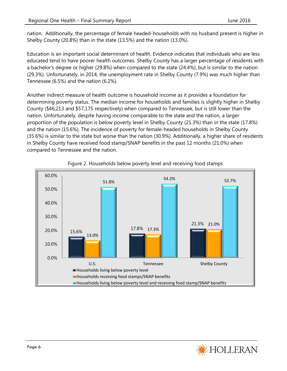nation. Additionally, the percentage of female headed-households with no husband present is higher in Shelby County (20.8%) than in the state (13.5%) and the nation (13.0%).

Education is an important social determinant of health. Evidence indicates that individuals who are less educated tend to have poorer health outcomes. Shelby County has a larger percentage of residents with a bachelor's degree or higher (29.8%) when compared to the state (24.4%), but is similar to the nation (29.3%). Unfortunately, in 2014, the unemployment rate in Shelby County (7.9%) was much higher than Tennessee (6.5%) and the nation (6.2%).

Another indirect measure of health outcome is household income as it provides a foundation for determining poverty status. The median income for households and families is slightly higher in Shelby County (\$46,213 and \$57,175 respectively) when compared to Tennessee, but is still lower than the nation. Unfortunately, despite having income comparable to the state and the nation, a larger proportion of the population is below poverty level in Shelby County (21.3%) than in the state (17.8%) and the nation (15.6%). The incidence of poverty for female-headed households in Shelby County (35.6%) is similar to the state but worse than the nation (30.9%). Additionally, a higher share of residents in Shelby County have received food stamp/SNAP benefits in the past 12 months (21.0%) when compared to Tennessee and the nation.



#### Figure 2. Households below poverty level and receiving food stamps

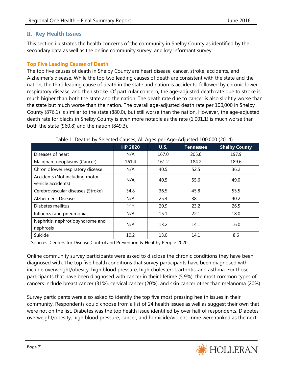#### **II. Key Health Issues**

This section illustrates the health concerns of the community in Shelby County as identified by the secondary data as well as the online community survey, and key informant survey.

#### **Top Five Leading Causes of Death**

The top five causes of death in Shelby County are heart disease, cancer, stroke, accidents, and Alzheimer's disease. While the top two leading causes of death are consistent with the state and the nation, the third leading cause of death in the state and nation is accidents, followed by chronic lower respiratory disease, and then stroke. Of particular concern, the age-adjusted death rate due to stroke is much higher than both the state and the nation. The death rate due to cancer is also slightly worse than the state but much worse than the nation. The overall age-adjusted death rate per 100,000 in Shelby County (876.1) is similar to the state (880.0), but still worse than the nation. However, the age-adjusted death rate for blacks in Shelby County is even more notable as the rate (1,001.1) is much worse than both the state (960.8) and the nation (849.3).

|                                                      | <b>HP 2020</b> | <b>U.S.</b> | <b>Tennessee</b> | <b>Shelby County</b> |
|------------------------------------------------------|----------------|-------------|------------------|----------------------|
| Diseases of heart                                    | N/A            | 167.0       | 205.6            | 197.9                |
| Malignant neoplasms (Cancer)                         | 161.4          | 161.2       | 184.2            | 189.6                |
| Chronic lower respiratory disease                    | N/A            | 40.5        | 52.5             | 36.2                 |
| Accidents (Not including motor<br>vehicle accidents) | N/A            | 40.5        | 55.6             | 49.0                 |
| Cerebrovascular diseases (Stroke)                    | 34.8           | 36.5        | 45.8             | 55.5                 |
| Alzheimer's Disease                                  | N/A            | 25.4        | 38.1             | 40.2                 |
| Diabetes mellitus                                    | $9.9**$        | 20.9        | 23.2             | 26.5                 |
| Influenza and pneumonia                              | N/A            | 15.1        | 22.1             | 18.0                 |
| Nephritis, nephrotic syndrome and<br>nephrosis       | N/A            | 13.2        | 14.1             | 16.0                 |
| Suicide                                              | 10.2           | 13.0        | 14.1             | 8.6                  |

#### Table 1. Deaths by Selected Causes, All Ages per Age-Adjusted 100,000 (2014)

Sources: Centers for Disease Control and Prevention & Healthy People 2020

Online community survey participants were asked to disclose the chronic conditions they have been diagnosed with. The top five health conditions that survey participants have been diagnosed with include overweight/obesity, high blood pressure, high cholesterol, arthritis, and asthma. For those participants that have been diagnosed with cancer in their lifetime (5.9%), the most common types of cancers include breast cancer (31%), cervical cancer (20%), and skin cancer other than melanoma (20%).

Survey participants were also asked to identify the top five most pressing health issues in their community. Respondents could choose from a list of 24 health issues as well as suggest their own that were not on the list. Diabetes was the top health issue identified by over half of respondents. Diabetes, overweight/obesity, high blood pressure, cancer, and homicide/violent crime were ranked as the next

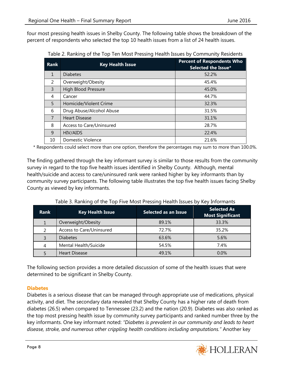four most pressing health issues in Shelby County. The following table shows the breakdown of the percent of respondents who selected the top 10 health issues from a list of 24 health issues.

| <b>Rank</b>    | <b>Key Health Issue</b>  | <b>Percent of Respondents Who</b><br>Selected the Issue* |
|----------------|--------------------------|----------------------------------------------------------|
| $\mathbf{1}$   | <b>Diabetes</b>          | 52.2%                                                    |
| $\mathcal{P}$  | Overweight/Obesity       | 45.4%                                                    |
| $\overline{3}$ | High Blood Pressure      | 45.0%                                                    |
| 4              | Cancer                   | 44.7%                                                    |
| 5              | Homicide/Violent Crime   | 32.3%                                                    |
| 6              | Drug Abuse/Alcohol Abuse | 31.5%                                                    |
| $\overline{7}$ | <b>Heart Disease</b>     | 31.1%                                                    |
| 8              | Access to Care/Uninsured | 28.7%                                                    |
| 9              | HIV/AIDS                 | 22.4%                                                    |
| 10             | Domestic Violence        | 21.6%                                                    |

Table 2. Ranking of the Top Ten Most Pressing Health Issues by Community Residents

\* Respondents could select more than one option, therefore the percentages may sum to more than 100.0%.

The finding gathered through the key informant survey is similar to those results from the community survey in regard to the top five health issues identified in Shelby County. Although, mental health/suicide and access to care/uninsured rank were ranked higher by key informants than by community survey participants. The following table illustrates the top five health issues facing Shelby County as viewed by key informants.

| <b>Rank</b> | <b>Key Health Issue</b>  | <b>Selected as an Issue</b> | <b>Selected As</b><br><b>Most Significant</b> |
|-------------|--------------------------|-----------------------------|-----------------------------------------------|
|             | Overweight/Obesity       | 89.1%                       | 33.3%                                         |
|             | Access to Care/Uninsured | 72.7%                       | 35.2%                                         |
|             | <b>Diabetes</b>          | 63.6%                       | 5.6%                                          |
| 4           | Mental Health/Suicide    | 54.5%                       | 7.4%                                          |
|             | <b>Heart Disease</b>     | 49.1%                       | $0.0\%$                                       |

Table 3. Ranking of the Top Five Most Pressing Health Issues by Key Informants

The following section provides a more detailed discussion of some of the health issues that were determined to be significant in Shelby County.

#### **Diabetes**

Diabetes is a serious disease that can be managed through appropriate use of medications, physical activity, and diet. The secondary data revealed that Shelby County has a higher rate of death from diabetes (26.5) when compared to Tennessee (23.2) and the nation (20.9). Diabetes was also ranked as the top most pressing health issue by community survey participants and ranked number three by the key informants. One key informant noted: *"Diabetes is prevalent in our community and leads to heart disease, stroke, and numerous other crippling health conditions including amputations."* Another key

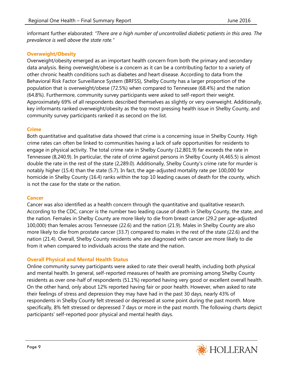informant further elaborated: *"There are a high number of uncontrolled diabetic patients in this area. The prevalence is well above the state rate."* 

#### **Overweight/Obesity**

Overweight/obesity emerged as an important health concern from both the primary and secondary data analysis. Being overweight/obese is a concern as it can be a contributing factor to a variety of other chronic health conditions such as diabetes and heart disease. According to data from the Behavioral Risk Factor Surveillance System (BRFSS), Shelby County has a larger proportion of the population that is overweight/obese (72.5%) when compared to Tennessee (68.4%) and the nation (64.8%). Furthermore, community survey participants were asked to self-report their weight. Approximately 69% of all respondents described themselves as slightly or very overweight. Additionally, key informants ranked overweight/obesity as the top most pressing health issue in Shelby County, and community survey participants ranked it as second on the list.

#### **Crime**

Both quantitative and qualitative data showed that crime is a concerning issue in Shelby County. High crime rates can often be linked to communities having a lack of safe opportunities for residents to engage in physical activity. The total crime rate in Shelby County (12,801.9) far exceeds the rate in Tennessee (8,240.9). In particular, the rate of crime against persons in Shelby County (4,465.5) is almost double the rate in the rest of the state (2,289.0). Additionally, Shelby County's crime rate for murder is notably higher (15.4) than the state (5.7). In fact, the age-adjusted mortality rate per 100,000 for homicide in Shelby County (16.4) ranks within the top 10 leading causes of death for the county, which is not the case for the state or the nation.

#### **Cancer**

Cancer was also identified as a health concern through the quantitative and qualitative research. According to the CDC, cancer is the number two leading cause of death in Shelby County, the state, and the nation. Females in Shelby County are more likely to die from breast cancer (29.2 per age-adjusted 100,000) than females across Tennessee (22.6) and the nation (21.9). Males in Shelby County are also more likely to die from prostate cancer (33.7) compared to males in the rest of the state (22.6) and the nation (21.4). Overall, Shelby County residents who are diagnosed with cancer are more likely to die from it when compared to individuals across the state and the nation.

#### **Overall Physical and Mental Health Status**

Online community survey participants were asked to rate their overall health, including both physical and mental health. In general, self-reported measures of health are promising among Shelby County residents as over one-half of respondents (51.1%) reported having very good or excellent overall health. On the other hand, only about 12% reported having fair or poor health. However, when asked to rate their feelings of stress and depression they may have had in the past 30 days, nearly 43% of respondents in Shelby County felt stressed or depressed at some point during the past month. More specifically, 8% felt stressed or depressed 7 days or more in the past month. The following charts depict participants' self-reported poor physical and mental health days.

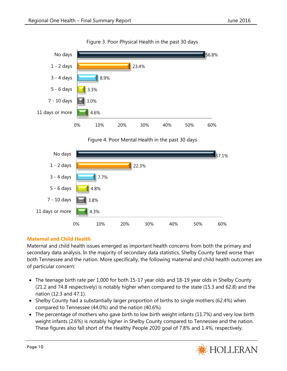

Figure 3. Poor Physical Health in the past 30 days

#### **Maternal and Child Health**

Maternal and child health issues emerged as important health concerns from both the primary and secondary data analysis. In the majority of secondary data statistics, Shelby County fared worse than both Tennessee and the nation. More specifically, the following maternal and child health outcomes are of particular concern:

0% 10% 20% 30% 40% 50% 60%

- The teenage birth rate per 1,000 for both 15-17 year olds and 18-19 year olds in Shelby County (21.2 and 74.8 respectively) is notably higher when compared to the state (15.3 and 62.8) and the nation (12.3 and 47.1).
- Shelby County had a substantially larger proportion of births to single mothers (62.4%) when compared to Tennessee (44.0%) and the nation (40.6%).
- The percentage of mothers who gave birth to low birth weight infants (11.7%) and very low birth weight infants (2.6%) is notably higher in Shelby County compared to Tennessee and the nation. These figures also fall short of the Healthy People 2020 goal of 7.8% and 1.4%, respectively.

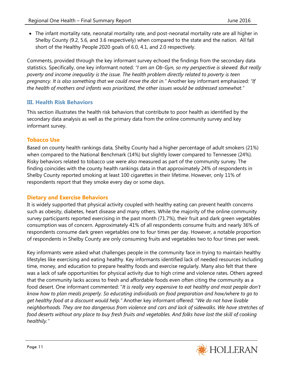The infant mortality rate, neonatal mortality rate, and post-neonatal mortality rate are all higher in Shelby County (9.2, 5.6, and 3.6 respectively) when compared to the state and the nation. All fall short of the Healthy People 2020 goals of 6.0, 4.1, and 2.0 respectively.

Comments, provided through the key informant survey echoed the findings from the secondary data statistics. Specifically, one key informant noted: *"I am an Ob-Gyn, so my perspective is skewed. But really poverty and income inequality is the issue. The health problem directly related to poverty is teen pregnancy. It is also something that we could move the dot in."* Another key informant emphasized: *"If the health of mothers and infants was prioritized, the other issues would be addressed somewhat."*

#### **III. Health Risk Behaviors**

This section illustrates the health risk behaviors that contribute to poor health as identified by the secondary data analysis as well as the primary data from the online community survey and key informant survey.

#### **Tobacco Use**

Based on county health rankings data, Shelby County had a higher percentage of adult smokers (21%) when compared to the National Benchmark (14%) but slightly lower compared to Tennessee (24%). Risky behaviors related to tobacco use were also measured as part of the community survey. The finding coincides with the county health rankings data in that approximately 24% of respondents in Shelby County reported smoking at least 100 cigarettes in their lifetime. However, only 11% of respondents report that they smoke every day or some days.

#### **Dietary and Exercise Behaviors**

It is widely supported that physical activity coupled with healthy eating can prevent health concerns such as obesity, diabetes, heart disease and many others. While the majority of the online community survey participants reported exercising in the past month (71.7%), their fruit and dark green vegetables consumption was of concern. Approximately 41% of all respondents consume fruits and nearly 36% of respondents consume dark green vegetables one to four times per day. However, a notable proportion of respondents in Shelby County are only consuming fruits and vegetables two to four times per week.

Key informants were asked what challenges people in the community face in trying to maintain healthy lifestyles like exercising and eating healthy. Key informants identified lack of needed resources including time, money, and education to prepare healthy foods and exercise regularly. Many also felt that there was a lack of safe opportunities for physical activity due to high crime and violence rates. Others agreed that the community lacks access to fresh and affordable foods even often citing the community as a food desert. One informant commented: "*It is really very expensive to eat healthy and most people don't know how to plan meals properly. So educating individuals on food preparation and how/where to go to get healthy food at a discount would help."* Another key informant offered: "*We do not have livable neighborhoods. They are too dangerous from violence and cars and lack of sidewalks. We have stretches of*  food deserts without any place to buy fresh fruits and vegetables. And folks have lost the skill of cooking *healthily."*

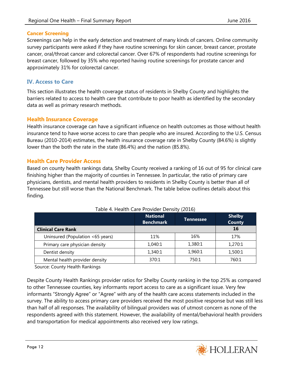#### **Cancer Screening**

Screenings can help in the early detection and treatment of many kinds of cancers. Online community survey participants were asked if they have routine screenings for skin cancer, breast cancer, prostate cancer, oral/throat cancer and colorectal cancer. Over 67% of respondents had routine screenings for breast cancer, followed by 35% who reported having routine screenings for prostate cancer and approximately 31% for colorectal cancer.

#### **IV. Access to Care**

This section illustrates the health coverage status of residents in Shelby County and highlights the barriers related to access to health care that contribute to poor health as identified by the secondary data as well as primary research methods.

#### **Health Insurance Coverage**

Health insurance coverage can have a significant influence on health outcomes as those without health insurance tend to have worse access to care than people who are insured. According to the U.S. Census Bureau (2010-2014) estimates, the health insurance coverage rate in Shelby County (84.6%) is slightly lower than the both the rate in the state (86.4%) and the nation (85.8%).

#### **Health Care Provider Access**

Based on county health rankings data, Shelby County received a ranking of 16 out of 95 for clinical care finishing higher than the majority of counties in Tennessee. In particular, the ratio of primary care physicians, dentists, and mental health providers to residents in Shelby County is better than all of Tennessee but still worse than the National Benchmark. The table below outlines details about this finding.

|                                  | <b>National</b><br><b>Benchmark</b> | Tennessee | <b>Shelby</b><br><b>County</b> |
|----------------------------------|-------------------------------------|-----------|--------------------------------|
| <b>Clinical Care Rank</b>        |                                     |           | 16                             |
| Uninsured (Population <65 years) | 11%                                 | 16%       | 17%                            |
| Primary care physician density   | 1,040:1                             | 1,380:1   | 1,270:1                        |
| Dentist density                  | 1,340:1                             | 1,960:1   | 1,500:1                        |
| Mental health provider density   | 370:1                               | 750:1     | 760:1                          |

#### Table 4. Health Care Provider Density (2016)

Source: County Health Rankings

Despite County Health Rankings provider ratios for Shelby County ranking in the top 25% as compared to other Tennessee counties, key informants report access to care as a significant issue. Very few informants "Strongly Agree" or "Agree" with any of the health care access statements included in the survey. The ability to access primary care providers received the most positive response but was still less than half of all responses. The availability of bilingual providers was of utmost concern as none of the respondents agreed with this statement. However, the availability of mental/behavioral health providers and transportation for medical appointments also received very low ratings.

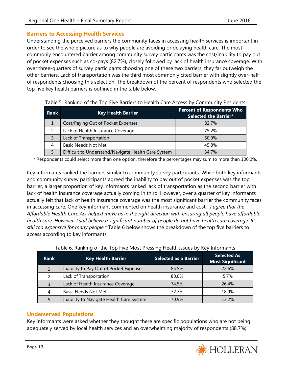#### **Barriers to Accessing Health Services**

Understanding the perceived barriers the community faces in accessing health services is important in order to see the whole picture as to why people are avoiding or delaying health care. The most commonly encountered barrier among community survey participants was the cost/inability to pay out of pocket expenses such as co-pays (82.7%), closely followed by lack of health insurance coverage. With over three-quarters of survey participants choosing one of these two barriers, they far outweigh the other barriers. Lack of transportation was the third most commonly cited barrier with slightly over-half of respondents choosing this selection. The breakdown of the percent of respondents who selected the top five key health barriers is outlined in the table below.

| Rank           | <b>Key Health Barrier</b>                           | <b>Percent of Respondents Who</b><br>Selected the Barrier* |
|----------------|-----------------------------------------------------|------------------------------------------------------------|
|                | Cost/Paying Out of Pocket Expenses                  | 82.7%                                                      |
|                | Lack of Health Insurance Coverage                   | 75.2%                                                      |
| $\overline{3}$ | Lack of Transportation                              | 50.9%                                                      |
| 4              | <b>Basic Needs Not Met</b>                          | 45.8%                                                      |
| 5              | Difficult to Understand/Navigate Health Care System | 34.7%                                                      |

Table 5. Ranking of the Top Five Barriers to Health Care Access by Community Residents

\* Respondents could select more than one option, therefore the percentages may sum to more than 100.0%.

Key informants ranked the barriers similar to community survey participants. While both key informants and community survey participants agreed the inability to pay out of pocket expenses was the top barrier, a larger proportion of key informants ranked lack of transportation as the second barrier with lack of health insurance coverage actually coming in third. However, over a quarter of key informants actually felt that lack of health insurance coverage was the most significant barrier the community faces in accessing care. One key informant commented on health insurance and cost: *"I agree that the Affordable Health Care Act helped move us in the right direction with ensuring all people have affordable health care. However, I still believe a significant number of people do not have health care coverage. It's still too expensive for many people."* Table 6 below shows the breakdown of the top five barriers to access according to key informants.

| <b>Rank</b>   | <b>Key Health Barrier</b>                | <b>Selected as a Barrier</b> | <b>Selected As</b><br><b>Most Significant</b> |
|---------------|------------------------------------------|------------------------------|-----------------------------------------------|
|               | Inability to Pay Out of Pocket Expenses  | 85.5%                        | 22.6%                                         |
| $\mathcal{P}$ | Lack of Transportation                   | 80.0%                        | 5.7%                                          |
| 3             | Lack of Health Insurance Coverage        | 74.5%                        | 26.4%                                         |
| 4             | <b>Basic Needs Not Met</b>               | 72.7%                        | 18.9%                                         |
|               | Inability to Navigate Health Care System | 70.9%                        | 13.2%                                         |

|  |  |  |  | Table 6. Ranking of the Top Five Most Pressing Health Issues by Key Informants |
|--|--|--|--|--------------------------------------------------------------------------------|

#### **Underserved Populations**

Key informants were asked whether they thought there are specific populations who are not being adequately served by local health services and an overwhelming majority of respondents (88.7%)

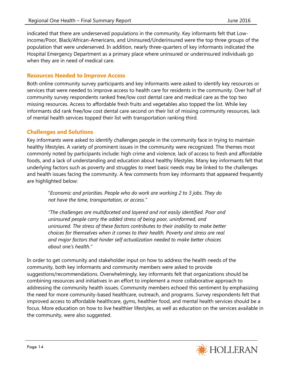indicated that there are underserved populations in the community. Key informants felt that Lowincome/Poor, Black/African-Americans, and Uninsured/Underinsured were the top three groups of the population that were underserved. In addition, nearly three-quarters of key informants indicated the Hospital Emergency Department as a primary place where uninsured or underinsured individuals go when they are in need of medical care.

#### **Resources Needed to Improve Access**

Both online community survey participants and key informants were asked to identify key resources or services that were needed to improve access to health care for residents in the community. Over half of community survey respondents ranked free/low cost dental care and medical care as the top two missing resources. Access to affordable fresh fruits and vegetables also topped the list. While key informants did rank free/low cost dental care second on their list of missing community resources, lack of mental health services topped their list with transportation ranking third.

#### **Challenges and Solutions**

Key informants were asked to identify challenges people in the community face in trying to maintain healthy lifestyles. A variety of prominent issues in the community were recognized. The themes most commonly noted by participants include: high crime and violence, lack of access to fresh and affordable foods, and a lack of understanding and education about healthy lifestyles. Many key informants felt that underlying factors such as poverty and struggles to meet basic needs may be linked to the challenges and health issues facing the community. A few comments from key informants that appeared frequently are highlighted below:

"*Economic and priorities. People who do work are working 2 to 3 jobs. They do not have the time, transportation, or access."*

*"The challenges are multifaceted and layered and not easily identified. Poor and uninsured people carry the added stress of being poor, uninformed, and uninsured. The stress of these factors contributes to their inability to make better choices for themselves when it comes to their health. Poverty and stress are real and major factors that hinder self actualization needed to make better choices about one's health."*

In order to get community and stakeholder input on how to address the health needs of the community, both key informants and community members were asked to provide suggestions/recommendations. Overwhelmingly, key informants felt that organizations should be combining resources and initiatives in an effort to implement a more collaborative approach to addressing the community health issues. Community members echoed this sentiment by emphasizing the need for more community-based healthcare, outreach, and programs. Survey respondents felt that improved access to affordable healthcare, gyms, healthier food, and mental health services should be a focus. More education on how to live healthier lifestyles, as well as education on the services available in the community, were also suggested.

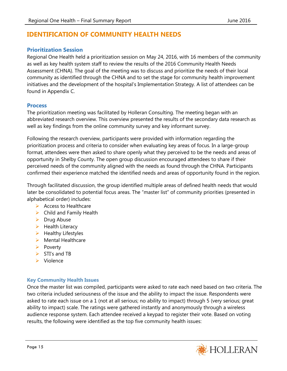## **IDENTIFICATION OF COMMUNITY HEALTH NEEDS**

#### **Prioritization Session**

Regional One Health held a prioritization session on May 24, 2016, with 16 members of the community as well as key health system staff to review the results of the 2016 Community Health Needs Assessment (CHNA). The goal of the meeting was to discuss and prioritize the needs of their local community as identified through the CHNA and to set the stage for community health improvement initiatives and the development of the hospital's Implementation Strategy. A list of attendees can be found in Appendix C.

#### **Process**

The prioritization meeting was facilitated by Holleran Consulting. The meeting began with an abbreviated research overview. This overview presented the results of the secondary data research as well as key findings from the online community survey and key informant survey.

Following the research overview, participants were provided with information regarding the prioritization process and criteria to consider when evaluating key areas of focus. In a large-group format, attendees were then asked to share openly what they perceived to be the needs and areas of opportunity in Shelby County. The open group discussion encouraged attendees to share if their perceived needs of the community aligned with the needs as found through the CHNA. Participants confirmed their experience matched the identified needs and areas of opportunity found in the region.

Through facilitated discussion, the group identified multiple areas of defined health needs that would later be consolidated to potential focus areas. The "master list" of community priorities (presented in alphabetical order) includes:

- $\triangleright$  Access to Healthcare
- $\triangleright$  Child and Family Health
- $\triangleright$  Drug Abuse
- $\blacktriangleright$  Health Literacy
- $\blacktriangleright$  Healthy Lifestyles
- $\triangleright$  Mental Healthcare
- $\triangleright$  Poverty
- $\triangleright$  STI's and TB
- $\triangleright$  Violence

#### **Key Community Health Issues**

Once the master list was compiled, participants were asked to rate each need based on two criteria. The two criteria included seriousness of the issue and the ability to impact the issue. Respondents were asked to rate each issue on a 1 (not at all serious; no ability to impact) through 5 (very serious; great ability to impact) scale. The ratings were gathered instantly and anonymously through a wireless audience response system. Each attendee received a keypad to register their vote. Based on voting results, the following were identified as the top five community health issues:

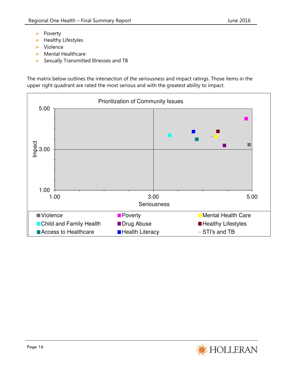- $\triangleright$  Poverty
- $\blacktriangleright$  Healthy Lifestyles
- $\triangleright$  Violence
- $\triangleright$  Mental Healthcare
- $\triangleright$  Sexually Transmitted Illnesses and TB

The matrix below outlines the intersection of the seriousness and impact ratings. Those items in the upper right quadrant are rated the most serious and with the greatest ability to impact.



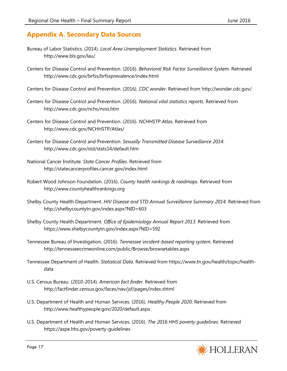## **Appendix A. Secondary Data Sources**

- Bureau of Labor Statistics. (2014). *Local Area Unemployment Statistics*. Retrieved from http://www.bls.gov/lau/
- Centers for Disease Control and Prevention. (2016). *Behavioral Risk Factor Surveillance System*. Retrieved http://www.cdc.gov/brfss/brfssprevalence/index.html
- Centers for Disease Control and Prevention. (2016). *CDC wonder*. Retrieved from http://wonder.cdc.gov/
- Centers for Disease Control and Prevention. (2016). *National vital statistics reports*. Retrieved from http://www.cdc.gov/nchs/nvss.htm
- Centers for Disease Control and Prevention. (2016). *NCHHSTP Atlas*. Retrieved from http://www.cdc.gov/NCHHSTP/Atlas/
- Centers for Disease Control and Prevention. *Sexually Transmitted Disease Surveillance 2014*. http://www.cdc.gov/std/stats14/default.htm
- National Cancer Institute. *State Cancer Profiles*. Retrieved from http://statecancerprofiles.cancer.gov/index.html
- Robert Wood Johnson Foundation. (2016). *County health rankings & roadmaps*. Retrieved from http://www.countyhealthrankings.org
- Shelby County Health Department. *HIV Disease and STD Annual Surveillance Summary 2014.* Retrieved from http://shelbycountytn.gov/index.aspx?NID=603
- Shelby County Health Department. *Office of Epidemiology Annual Report 2013.* Retrieved from https://www.shelbycountytn.gov/index.aspx?NID=592
- Tennessee Bureau of Investigation. (2016). *Tennessee incident-based reporting system*. Retrieved http://tennesseecrimeonline.com/public/Browse/browsetables.aspx
- Tennessee Department of Health. *Statistical Data*. Retrieved from https://www.tn.gov/health/topic/healthdata
- U.S. Census Bureau. (2010-2014). *American fact finder.* Retrieved from http://factfinder.census.gov/faces/nav/jsf/pages/index.xhtml
- U.S. Department of Health and Human Services. (2016). *Healthy People 2020*. Retrieved from http://www.healthypeople.gov/2020/default.aspx
- U.S. Department of Health and Human Services. (2016). *The 2016 HHS poverty guidelines*. Retrieved https://aspe.hhs.gov/poverty-guidelines

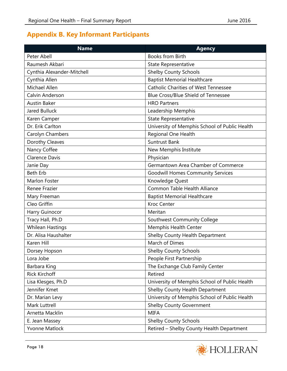# **Appendix B. Key Informant Participants**

| <b>Name</b>                | <b>Agency</b>                                 |
|----------------------------|-----------------------------------------------|
| Peter Abell                | <b>Books from Birth</b>                       |
| Raumesh Akbari             | <b>State Representative</b>                   |
| Cynthia Alexander-Mitchell | Shelby County Schools                         |
| Cynthia Allen              | <b>Baptist Memorial Healthcare</b>            |
| Michael Allen              | <b>Catholic Charities of West Tennessee</b>   |
| Calvin Anderson            | <b>Blue Cross/Blue Shield of Tennessee</b>    |
| <b>Austin Baker</b>        | <b>HRO Partners</b>                           |
| Jared Bulluck              | Leadership Memphis                            |
| Karen Camper               | State Representative                          |
| Dr. Erik Carlton           | University of Memphis School of Public Health |
| Carolyn Chambers           | Regional One Health                           |
| Dorothy Cleaves            | <b>Suntrust Bank</b>                          |
| Nancy Coffee               | New Memphis Institute                         |
| <b>Clarence Davis</b>      | Physician                                     |
| Janie Day                  | Germantown Area Chamber of Commerce           |
| <b>Beth Erb</b>            | <b>Goodwill Homes Community Services</b>      |
| Marlon Foster              | Knowledge Quest                               |
| Renee Frazier              | Common Table Health Alliance                  |
| Mary Freeman               | <b>Baptist Memorial Healthcare</b>            |
| Cleo Griffin               | <b>Kroc Center</b>                            |
| Harry Guinocor             | Meritan                                       |
| Tracy Hall, Ph.D           | Southwest Community College                   |
| <b>Whilean Hastings</b>    | Memphis Health Center                         |
| Dr. Alisa Haushalter       | Shelby County Health Department               |
| Karen Hill                 | March of Dimes                                |
| Dorsey Hopson              | <b>Shelby County Schools</b>                  |
| Lora Jobe                  | People First Partnership                      |
| Barbara King               | The Exchange Club Family Center               |
| <b>Rick Kirchoff</b>       | Retired                                       |
| Lisa Klesges, Ph.D         | University of Memphis School of Public Health |
| Jennifer Kmet              | Shelby County Health Department               |
| Dr. Marian Levy            | University of Memphis School of Public Health |
| Mark Luttrell              | <b>Shelby County Government</b>               |
| Arnetta Macklin            | <b>MIFA</b>                                   |
| E. Jean Massey             | <b>Shelby County Schools</b>                  |
| <b>Yvonne Matlock</b>      | Retired - Shelby County Health Department     |

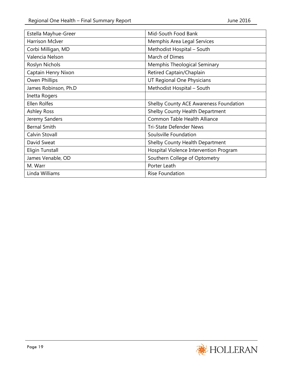| Estella Mayhue-Greer   | Mid-South Food Bank                    |
|------------------------|----------------------------------------|
| <b>Harrison McIver</b> | Memphis Area Legal Services            |
| Corbi Milligan, MD     | Methodist Hospital - South             |
| Valencia Nelson        | March of Dimes                         |
| Roslyn Nichols         | Memphis Theological Seminary           |
| Captain Henry Nixon    | Retired Captain/Chaplain               |
| Owen Phillips          | UT Regional One Physicians             |
| James Robinson, Ph.D   | Methodist Hospital - South             |
| Inetta Rogers          |                                        |
| Ellen Rolfes           | Shelby County ACE Awareness Foundation |
| <b>Ashley Ross</b>     | Shelby County Health Department        |
| Jeremy Sanders         | Common Table Health Alliance           |
| <b>Bernal Smith</b>    | <b>Tri-State Defender News</b>         |
| Calvin Stovall         | Soulsville Foundation                  |
| David Sweat            | Shelby County Health Department        |
| <b>Eligin Tunstall</b> | Hospital Violence Intervention Program |
| James Venable, OD      | Southern College of Optometry          |
| M. Warr                | Porter Leath                           |
| Linda Williams         | <b>Rise Foundation</b>                 |

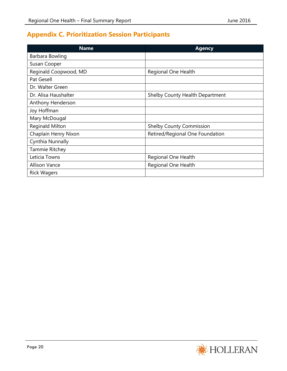# **Appendix C. Prioritization Session Participants**

| <b>Name</b>            | <b>Agency</b>                   |
|------------------------|---------------------------------|
| Barbara Bowling        |                                 |
| Susan Cooper           |                                 |
| Reginald Coopwood, MD  | Regional One Health             |
| Pat Gesell             |                                 |
| Dr. Walter Green       |                                 |
| Dr. Alisa Haushalter   | Shelby County Health Department |
| Anthony Henderson      |                                 |
| Joy Hoffman            |                                 |
| Mary McDougal          |                                 |
| <b>Reginald Milton</b> | <b>Shelby County Commission</b> |
| Chaplain Henry Nixon   | Retired/Regional One Foundation |
| Cynthia Nunnally       |                                 |
| Tammie Ritchey         |                                 |
| Leticia Towns          | Regional One Health             |
| <b>Allison Vance</b>   | Regional One Health             |
| <b>Rick Wagers</b>     |                                 |

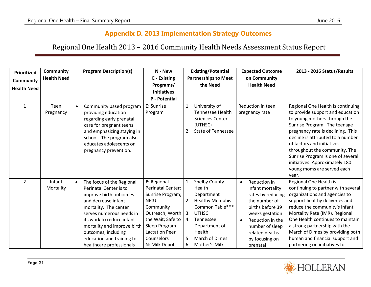## **Appendix D. 2013 Implementation Strategy Outcomes**

# Regional One Health 2013 – 2016 Community Health Needs Assessment Status Report

| Prioritized<br><b>Community</b><br><b>Health Need</b> | <b>Community</b><br><b>Health Need</b> | <b>Program Description(s)</b>                                                                                                                                                                                                                                                                                      | N - New<br>E - Existing<br>Programs/<br><b>Initiatives</b><br><b>P</b> - Potential                                                                                                                |                                  | <b>Existing/Potential</b><br><b>Partnerships to Meet</b><br>the Need                                                                                                                 |           | <b>Expected Outcome</b><br>on Community<br><b>Health Need</b>                                                                                                                                        | 2013 - 2016 Status/Results                                                                                                                                                                                                                                                                                                                                                                   |
|-------------------------------------------------------|----------------------------------------|--------------------------------------------------------------------------------------------------------------------------------------------------------------------------------------------------------------------------------------------------------------------------------------------------------------------|---------------------------------------------------------------------------------------------------------------------------------------------------------------------------------------------------|----------------------------------|--------------------------------------------------------------------------------------------------------------------------------------------------------------------------------------|-----------|------------------------------------------------------------------------------------------------------------------------------------------------------------------------------------------------------|----------------------------------------------------------------------------------------------------------------------------------------------------------------------------------------------------------------------------------------------------------------------------------------------------------------------------------------------------------------------------------------------|
| $\mathbf{1}$                                          | Teen<br>Pregnancy                      | Community based program<br>$\bullet$<br>providing education<br>regarding early prenatal<br>care for pregnant teens<br>and emphasizing staying in<br>school. The program also<br>educates adolescents on<br>pregnancy prevention.                                                                                   | E: Sunrise<br>Program                                                                                                                                                                             | 1.<br>2.                         | University of<br><b>Tennessee Health</b><br><b>Sciences Center</b><br>(UTHSC)<br><b>State of Tennessee</b>                                                                           |           | Reduction in teen<br>pregnancy rate                                                                                                                                                                  | Regional One Health is continuing<br>to provide support and education<br>to young mothers through the<br>Sunrise Program. The teenage<br>pregnancy rate is declining. This<br>decline is attributed to a number<br>of factors and initiatives<br>throughout the community. The<br>Sunrise Program is one of several<br>initiatives. Approximately 180<br>young moms are served each<br>year. |
| $\overline{2}$                                        | Infant<br>Mortality                    | The focus of the Regional<br>$\bullet$<br>Perinatal Center is to<br>improve birth outcomes<br>and decrease infant<br>mortality. The center<br>serves numerous needs in<br>its work to reduce infant<br>mortality and improve birth<br>outcomes, including<br>education and training to<br>healthcare professionals | E: Regional<br>Perinatal Center;<br>Sunrise Program;<br><b>NICU</b><br>Community<br>Outreach; Worth<br>the Wait; Safe to<br>Sleep Program<br><b>Lactation Peer</b><br>Counselors<br>N: Milk Depot | 1.<br>2.<br>3.<br>4.<br>.5<br>6. | <b>Shelby County</b><br>Health<br>Department<br><b>Healthy Memphis</b><br>Common Table***<br><b>UTHSC</b><br>Tennessee<br>Department of<br>Health<br>March of Dimes<br>Mother's Milk | $\bullet$ | Reduction in<br>infant mortality<br>rates by reducing<br>the number of<br>births before 39<br>weeks gestation<br>Reduction in the<br>number of sleep<br>related deaths<br>by focusing on<br>prenatal | Regional One Health is<br>continuing to partner with several<br>organizations and agencies to<br>support healthy deliveries and<br>reduce the community's Infant<br>Mortality Rate (IMR). Regional<br>One Health continues to maintain<br>a strong partnership with the<br>March of Dimes by providing both<br>human and financial support and<br>partnering on initiatives to               |

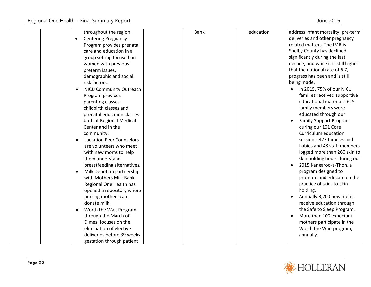| throughout the region.<br><b>Centering Pregnancy</b><br>$\bullet$<br>Program provides prenatal<br>care and education in a<br>group setting focused on<br>women with previous<br>preterm issues,<br>demographic and social<br>risk factors.<br>NICU Community Outreach<br>$\bullet$<br>Program provides<br>parenting classes,<br>childbirth classes and<br>prenatal education classes<br>both at Regional Medical<br>Center and in the<br>community.<br><b>Lactation Peer Counselors</b><br>$\bullet$<br>are volunteers who meet<br>with new moms to help<br>them understand<br>breastfeeding alternatives.<br>Milk Depot: in partnership<br>$\bullet$<br>with Mothers Milk Bank,<br>Regional One Health has<br>opened a repository where<br>nursing mothers can<br>donate milk.<br>Worth the Wait Program,<br>$\bullet$<br>through the March of<br>Dimes, focuses on the<br>elimination of elective | <b>Bank</b> | education | address infant mortality, pre-term<br>deliveries and other pregnancy<br>related matters. The IMR is<br>Shelby County has declined<br>significantly during the last<br>decade, and while it is still higher<br>that the national rate of 6.7,<br>progress has been and is still<br>being made.<br>In 2015, 75% of our NICU<br>$\bullet$<br>families received supportive<br>educational materials; 615<br>family members were<br>educated through our<br><b>Family Support Program</b><br>during our 101 Core<br>Curriculum education<br>sessions; 477 families and<br>babies and 48 staff members<br>logged more than 260 skin to<br>skin holding hours during our<br>2015 Kangaroo-a-Thon, a<br>$\bullet$<br>program designed to<br>promote and educate on the<br>practice of skin-to-skin-<br>holding.<br>Annually 3,700 new moms<br>receive education through<br>the Safe to Sleep Program.<br>More than 100 expectant<br>mothers participate in the<br>Worth the Wait program, |
|-----------------------------------------------------------------------------------------------------------------------------------------------------------------------------------------------------------------------------------------------------------------------------------------------------------------------------------------------------------------------------------------------------------------------------------------------------------------------------------------------------------------------------------------------------------------------------------------------------------------------------------------------------------------------------------------------------------------------------------------------------------------------------------------------------------------------------------------------------------------------------------------------------|-------------|-----------|-----------------------------------------------------------------------------------------------------------------------------------------------------------------------------------------------------------------------------------------------------------------------------------------------------------------------------------------------------------------------------------------------------------------------------------------------------------------------------------------------------------------------------------------------------------------------------------------------------------------------------------------------------------------------------------------------------------------------------------------------------------------------------------------------------------------------------------------------------------------------------------------------------------------------------------------------------------------------------------|
| deliveries before 39 weeks<br>gestation through patient                                                                                                                                                                                                                                                                                                                                                                                                                                                                                                                                                                                                                                                                                                                                                                                                                                             |             |           | annually.                                                                                                                                                                                                                                                                                                                                                                                                                                                                                                                                                                                                                                                                                                                                                                                                                                                                                                                                                                         |

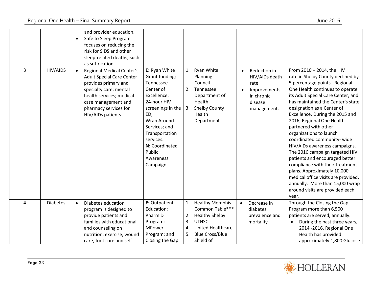| 3 | HIV/AIDS        | and provider education.<br>Safe to Sleep Program<br>$\bullet$<br>focuses on reducing the<br>risk for SIDS and other<br>sleep-related deaths, such<br>as suffocation.<br><b>Regional Medical Center's</b><br>$\bullet$ | E: Ryan White                                                                                                                                                                                                                  | 1.                   | Ryan White                                                                                                                                        | $\bullet$ | Reduction in                                                                    | From 2010 - 2014, the HIV                                                                                                                                                                                                                                                                                                                                                                                                                                                                                                                                                                                                                                    |
|---|-----------------|-----------------------------------------------------------------------------------------------------------------------------------------------------------------------------------------------------------------------|--------------------------------------------------------------------------------------------------------------------------------------------------------------------------------------------------------------------------------|----------------------|---------------------------------------------------------------------------------------------------------------------------------------------------|-----------|---------------------------------------------------------------------------------|--------------------------------------------------------------------------------------------------------------------------------------------------------------------------------------------------------------------------------------------------------------------------------------------------------------------------------------------------------------------------------------------------------------------------------------------------------------------------------------------------------------------------------------------------------------------------------------------------------------------------------------------------------------|
|   |                 | <b>Adult Special Care Center</b><br>provides primary and<br>specialty care; mental<br>health services; medical<br>case management and<br>pharmacy services for<br>HIV/AIDs patients.                                  | Grant funding;<br>Tennessee<br>Center of<br>Excellence;<br>24-hour HIV<br>screenings in the $\vert$<br>ED;<br>Wrap Around<br>Services; and<br>Transportation<br>services.<br>N: Coordinated<br>Public<br>Awareness<br>Campaign | 3.                   | Planning<br>Council<br>2. Tennessee<br>Department of<br>Health<br><b>Shelby County</b><br>Health<br>Department                                    |           | HIV/AIDs death<br>rate.<br>Improvements<br>in chronic<br>disease<br>management. | rate in Shelby County declined by<br>5 percentage points. Regional<br>One Health continues to operate<br>its Adult Special Care Center, and<br>has maintained the Center's state<br>designation as a Center of<br>Excellence. During the 2015 and<br>2016, Regional One Health<br>partnered with other<br>organizations to launch<br>coordinated community-wide<br>HIV/AIDs awareness campaigns.<br>The 2016 campaign targeted HIV<br>patients and encouraged better<br>compliance with their treatment<br>plans. Approximately 10,000<br>medical office visits are provided,<br>annually. More than 15,000 wrap<br>around visits are provided each<br>year. |
| 4 | <b>Diabetes</b> | Diabetes education<br>$\bullet$<br>program is designed to<br>provide patients and<br>families with educational<br>and counseling on<br>nutrition, exercise, wound<br>care, foot care and self-                        | E: Outpatient<br>Education;<br>Pharm D<br>Program;<br><b>MPower</b><br>Program; and<br>Closing the Gap                                                                                                                         | 2.<br>3.<br>4.<br>5. | 1. Healthy Memphis<br>Common Table***<br><b>Healthy Shelby</b><br><b>UTHSC</b><br><b>United Healthcare</b><br><b>Blue Cross/Blue</b><br>Shield of | $\bullet$ | Decrease in<br>diabetes<br>prevalence and<br>mortality                          | Through the Closing the Gap<br>Program more than 6,500<br>patients are served, annually.<br>During the past three years,<br>$\bullet$<br>2014 -2016, Regional One<br>Health has provided<br>approximately 1,800 Glucose                                                                                                                                                                                                                                                                                                                                                                                                                                      |

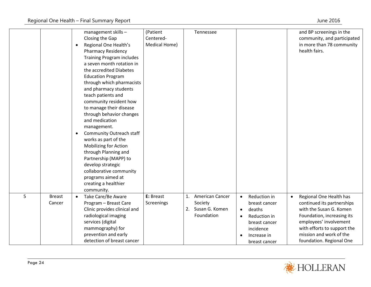|   |                         | $\bullet$<br>$\bullet$ | management skills -<br>Closing the Gap<br>Regional One Health's<br><b>Pharmacy Residency</b><br><b>Training Program includes</b><br>a seven month rotation in<br>the accredited Diabetes<br><b>Education Program</b><br>through which pharmacists<br>and pharmacy students<br>teach patients and<br>community resident how<br>to manage their disease<br>through behavior changes<br>and medication<br>management.<br>Community Outreach staff<br>works as part of the<br><b>Mobilizing for Action</b><br>through Planning and<br>Partnership (MAPP) to<br>develop strategic<br>collaborative community<br>programs aimed at<br>creating a healthier<br>community. | (Patient<br>Centered-<br>Medical Home) | Tennessee                                                        |                        |                                                                                                                       |           | and BP screenings in the<br>community, and participated<br>in more than 78 community<br>health fairs.                                                                                                                          |
|---|-------------------------|------------------------|--------------------------------------------------------------------------------------------------------------------------------------------------------------------------------------------------------------------------------------------------------------------------------------------------------------------------------------------------------------------------------------------------------------------------------------------------------------------------------------------------------------------------------------------------------------------------------------------------------------------------------------------------------------------|----------------------------------------|------------------------------------------------------------------|------------------------|-----------------------------------------------------------------------------------------------------------------------|-----------|--------------------------------------------------------------------------------------------------------------------------------------------------------------------------------------------------------------------------------|
| 5 | <b>Breast</b><br>Cancer | $\bullet$              | Take Care/Be Aware<br>Program - Breast Care<br>Clinic provides clinical and<br>radiological imaging<br>services (digital<br>mammography) for<br>prevention and early<br>detection of breast cancer                                                                                                                                                                                                                                                                                                                                                                                                                                                                 | E: Breast<br>Screenings                | 1. American Cancer<br>Society<br>2. Susan G. Komen<br>Foundation | $\bullet$<br>$\bullet$ | Reduction in<br>breast cancer<br>deaths<br>Reduction in<br>breast cancer<br>incidence<br>Increase in<br>breast cancer | $\bullet$ | Regional One Health has<br>continued its partnerships<br>with the Susan G. Komen<br>Foundation, increasing its<br>employees' involvement<br>with efforts to support the<br>mission and work of the<br>foundation. Regional One |

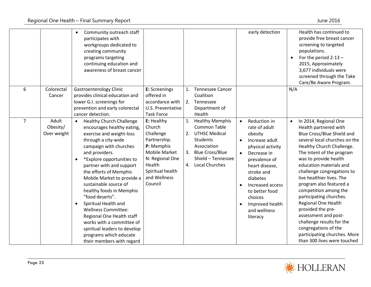|                |             | Community outreach staff<br>$\bullet$<br>participates with<br>workgroups dedicated to<br>creating community<br>programs targeting<br>continuing education and<br>awareness of breast cancer |                                  |    |                        |           | early detection   |           | Health has continued to<br>provide free breast cancer<br>screening to targeted<br>populations.<br>For the period 2-13 -<br>2015, Approximately<br>3,677 individuals were<br>screened through the Take<br>Care/Be Aware Program. |
|----------------|-------------|---------------------------------------------------------------------------------------------------------------------------------------------------------------------------------------------|----------------------------------|----|------------------------|-----------|-------------------|-----------|---------------------------------------------------------------------------------------------------------------------------------------------------------------------------------------------------------------------------------|
| 6              | Colorectal  | <b>Gastroenterology Clinic</b>                                                                                                                                                              | E: Screenings                    |    | 1. Tennessee Cancer    |           |                   | N/A       |                                                                                                                                                                                                                                 |
|                | Cancer      | provides clinical education and                                                                                                                                                             | offered in                       |    | Coalition              |           |                   |           |                                                                                                                                                                                                                                 |
|                |             | lower G.I. screenings for                                                                                                                                                                   | accordance with                  | 2. | Tennessee              |           |                   |           |                                                                                                                                                                                                                                 |
|                |             | prevention and early colorectal                                                                                                                                                             | U.S. Preventative                |    | Department of          |           |                   |           |                                                                                                                                                                                                                                 |
|                |             | cancer detection.                                                                                                                                                                           | <b>Task Force</b>                |    | Health                 |           |                   |           |                                                                                                                                                                                                                                 |
| $\overline{7}$ | Adult       | <b>Healthy Church Challenge</b><br>$\bullet$                                                                                                                                                | E: Healthy                       |    | 1. Healthy Memphis     | $\bullet$ | Reduction in      | $\bullet$ | In 2014, Regional One                                                                                                                                                                                                           |
|                | Obesity/    | encourages healthy eating,                                                                                                                                                                  | Church                           |    | <b>Common Table</b>    |           | rate of adult     |           | Health partnered with                                                                                                                                                                                                           |
|                | Over weight | exercise and weight-loss                                                                                                                                                                    | Challenge                        | 2. | <b>UTHSC Medical</b>   |           | obesity           |           | Blue Cross/Blue Shield and                                                                                                                                                                                                      |
|                |             | through a city-wide                                                                                                                                                                         | Partnership.                     |    | Students               | $\bullet$ | Increase adult    |           | several local churches on the                                                                                                                                                                                                   |
|                |             | campaign with churches                                                                                                                                                                      | P: Memphis                       |    | Association            |           | physical activity |           | Healthy Church Challenge.                                                                                                                                                                                                       |
|                |             | and providers.                                                                                                                                                                              | <b>Mobile Market</b>             | 3. | <b>Blue Cross/Blue</b> | $\bullet$ | Decrease in       |           | The intent of the program                                                                                                                                                                                                       |
|                |             | *Explore opportunities to<br>$\bullet$                                                                                                                                                      | N: Regional One<br>Health        |    | Shield - Tennessee     |           | prevalence of     |           | was to provide health                                                                                                                                                                                                           |
|                |             | partner with and support                                                                                                                                                                    |                                  |    | 4. Local Churches      |           | heart disease,    |           | education materials and                                                                                                                                                                                                         |
|                |             | the efforts of Memphis                                                                                                                                                                      | Spiritual health<br>and Wellness |    |                        |           | stroke and        |           | challenge congregations to<br>live healthier lives. The                                                                                                                                                                         |
|                |             | Mobile Market to provide a<br>sustainable source of                                                                                                                                         | Council                          |    |                        |           | diabetes          |           |                                                                                                                                                                                                                                 |
|                |             |                                                                                                                                                                                             |                                  |    |                        |           | Increased access  |           | program also featured a<br>competition among the                                                                                                                                                                                |
|                |             | healthy foods in Memphis<br>"food deserts".                                                                                                                                                 |                                  |    |                        |           | to better food    |           | participating churches.                                                                                                                                                                                                         |
|                |             | Spiritual Health and                                                                                                                                                                        |                                  |    |                        |           | choices           |           | <b>Regional One Health</b>                                                                                                                                                                                                      |
|                |             | <b>Wellness Committee:</b>                                                                                                                                                                  |                                  |    |                        |           | Improved health   |           | provided the pre-                                                                                                                                                                                                               |
|                |             | Regional One Health staff                                                                                                                                                                   |                                  |    |                        |           | and wellness      |           | assessment and post-                                                                                                                                                                                                            |
|                |             | works with a committee of                                                                                                                                                                   |                                  |    |                        |           | literacy          |           | challenge results for the                                                                                                                                                                                                       |
|                |             | spiritual leaders to develop                                                                                                                                                                |                                  |    |                        |           |                   |           | congregations of the                                                                                                                                                                                                            |
|                |             | programs which educate                                                                                                                                                                      |                                  |    |                        |           |                   |           | participating churches. More                                                                                                                                                                                                    |
|                |             | their members with regard                                                                                                                                                                   |                                  |    |                        |           |                   |           | than 300 lives were touched                                                                                                                                                                                                     |
|                |             |                                                                                                                                                                                             |                                  |    |                        |           |                   |           |                                                                                                                                                                                                                                 |

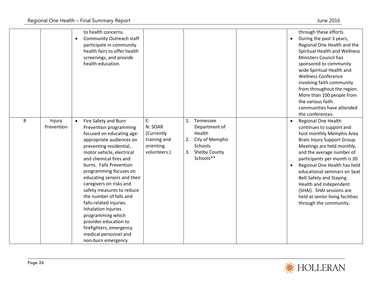|   |                      | to health concerns.<br><b>Community Outreach staff</b><br>$\bullet$<br>participate in community<br>health fairs to offer health<br>screenings, and provide<br>health education.                                                                                                                                                                                                                                                                                                                                                                         |                                                                          |                                                                                                                                       | through these efforts.<br>During the past 3 years,<br>$\bullet$<br>Regional One Health and the<br>Spiritual Health and Wellness<br>Ministers Council has<br>sponsored to community<br>wide Spiritual Health and<br><b>Wellness Conference</b><br>involving faith community<br>from throughout the region.<br>More than 100 people from<br>the various faith<br>communities have attended<br>the conferences.                          |
|---|----------------------|---------------------------------------------------------------------------------------------------------------------------------------------------------------------------------------------------------------------------------------------------------------------------------------------------------------------------------------------------------------------------------------------------------------------------------------------------------------------------------------------------------------------------------------------------------|--------------------------------------------------------------------------|---------------------------------------------------------------------------------------------------------------------------------------|---------------------------------------------------------------------------------------------------------------------------------------------------------------------------------------------------------------------------------------------------------------------------------------------------------------------------------------------------------------------------------------------------------------------------------------|
| 8 | Injury<br>Prevention | Fire Safety and Burn<br>$\bullet$<br>Prevention programming<br>focused on educating age-<br>appropriate audiences on<br>preventing residential,<br>motor vehicle, electrical<br>and chemical fires and<br>burns. Falls Prevention<br>programming focuses on<br>educating seniors and their<br>caregivers on risks and<br>safety measures to reduce<br>the number of falls and<br>falls-related injuries.<br>Inhalation Injuries<br>programming which<br>provides education to<br>firefighters, emergency<br>medical personnel and<br>non-burn emergency | E:<br>N: SOAR<br>(Currently<br>training and<br>orienting<br>volunteers.) | Tennessee<br>$\mathbf{1}$ .<br>Department of<br>Health<br>City of Memphis<br>2.<br>Schools<br><b>Shelby County</b><br>3.<br>Schools** | <b>Regional One Health</b><br>continues to support and<br>host monthly Memphis Area<br>Brain Injury Support Group.<br>Meetings are held monthly,<br>and the average number of<br>participants per month is 20.<br>Regional One Health has held<br>educational seminars on Seat<br><b>Belt Safety and Staying</b><br>Health and Independent<br>(SHAI). SHAI sessions are<br>held at senior living facilities<br>through the community. |

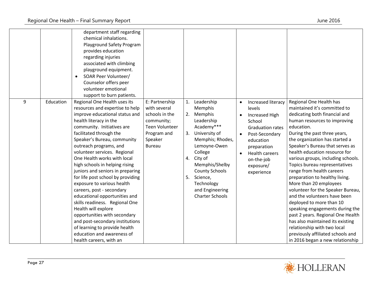| 9 | Education | department staff regarding<br>chemical inhalations.<br>Playground Safety Program<br>provides education<br>regarding injuries<br>associated with climbing<br>playground equipment.<br>SOAR Peer Volunteer/<br>Counselor offers peer<br>volunteer emotional<br>support to burn patients.<br>Regional One Health uses its                                                                                                                                                                                                                                                                                                                                                                                    | E: Partnership                                                                                            | 1.             | Leadership                                                                                                                                                                                                                                            |           |                                                                                                                                                                                                     | Regional One Health has                                                                                                                                                                                                                                                                                                                                                                                                                                                                                                                                                                                                                                                                                                                |
|---|-----------|-----------------------------------------------------------------------------------------------------------------------------------------------------------------------------------------------------------------------------------------------------------------------------------------------------------------------------------------------------------------------------------------------------------------------------------------------------------------------------------------------------------------------------------------------------------------------------------------------------------------------------------------------------------------------------------------------------------|-----------------------------------------------------------------------------------------------------------|----------------|-------------------------------------------------------------------------------------------------------------------------------------------------------------------------------------------------------------------------------------------------------|-----------|-----------------------------------------------------------------------------------------------------------------------------------------------------------------------------------------------------|----------------------------------------------------------------------------------------------------------------------------------------------------------------------------------------------------------------------------------------------------------------------------------------------------------------------------------------------------------------------------------------------------------------------------------------------------------------------------------------------------------------------------------------------------------------------------------------------------------------------------------------------------------------------------------------------------------------------------------------|
|   |           | resources and expertise to help<br>improve educational status and<br>health literacy in the<br>community. Initiatives are<br>facilitated through the<br>Speaker's Bureau, community<br>outreach programs, and<br>volunteer services. Regional<br>One Health works with local<br>high schools in helping rising<br>juniors and seniors in preparing<br>for life post school by providing<br>exposure to various health<br>careers, post - secondary<br>educational opportunities and<br>skills readiness. Regional One<br>Health will explore<br>opportunities with secondary<br>and post-secondary institutions<br>of learning to provide health<br>education and awareness of<br>health careers, with an | with several<br>schools in the<br>community;<br>Teen Volunteer<br>Program and<br>Speaker<br><b>Bureau</b> | 2.<br>3.<br>5. | <b>Memphis</b><br>Memphis<br>Leadership<br>Academy***<br>University of<br>Memphis; Rhodes,<br>Lemoyne-Owen<br>College<br>4. City of<br>Memphis/Shelby<br><b>County Schools</b><br>Science,<br>Technology<br>and Engineering<br><b>Charter Schools</b> | $\bullet$ | Increased literacy<br>levels<br>Increased High<br>School<br><b>Graduation rates</b><br>Post-Secondary<br>education<br>preparation<br><b>Health careers</b><br>on-the-job<br>exposure/<br>experience | maintained it's committed to<br>dedicating both financial and<br>human resources to improving<br>education.<br>During the past three years,<br>the organization has started a<br>Speaker's Bureau that serves as<br>health education resource for<br>various groups, including schools.<br>Topics bureau representatives<br>range from health careers<br>preparation to healthy living.<br>More than 20 employees<br>volunteer for the Speaker Bureau,<br>and the volunteers have been<br>deployed to more than 10<br>speaking engagements during the<br>past 2 years. Regional One Health<br>has also maintained its existing<br>relationship with two local<br>previously affiliated schools and<br>in 2016 began a new relationship |

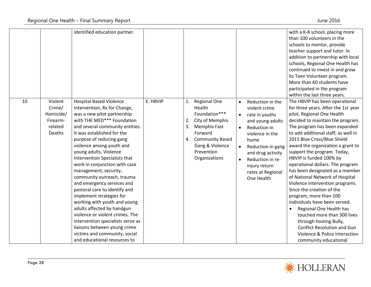|    |                                                                 | identified education partner.                                                                                                                                                                                                                                                                                                                                                                                                                                                                                                                                                                                                                                                                                                             |          |                |                                                                                                                                                                      |                                                  |                                                                                                                                                                                                                                             | with a K-8 school, placing more<br>than 100 volunteers in the<br>schools to mentor, provide<br>teacher support and tutor. In<br>addition to partnership with local<br>schools, Regional One Health has<br>continued to invest in and grow<br>its Teen Volunteer program.<br>More than 60 students have<br>participated in the program<br>within the last three years.                                                                                                                                                                                                                                                                                                                                                                                                  |
|----|-----------------------------------------------------------------|-------------------------------------------------------------------------------------------------------------------------------------------------------------------------------------------------------------------------------------------------------------------------------------------------------------------------------------------------------------------------------------------------------------------------------------------------------------------------------------------------------------------------------------------------------------------------------------------------------------------------------------------------------------------------------------------------------------------------------------------|----------|----------------|----------------------------------------------------------------------------------------------------------------------------------------------------------------------|--------------------------------------------------|---------------------------------------------------------------------------------------------------------------------------------------------------------------------------------------------------------------------------------------------|------------------------------------------------------------------------------------------------------------------------------------------------------------------------------------------------------------------------------------------------------------------------------------------------------------------------------------------------------------------------------------------------------------------------------------------------------------------------------------------------------------------------------------------------------------------------------------------------------------------------------------------------------------------------------------------------------------------------------------------------------------------------|
| 10 | Violent<br>Crime/<br>Homicide/<br>Firearm-<br>related<br>Deaths | <b>Hospital Based Violence</b><br>Intervention, Rx for Change,<br>was a new pilot partnership<br>with THE MED*** Foundation<br>and several community entities.<br>It was established for the<br>purpose of reducing gang<br>violence among youth and<br>young adults. Violence<br>Intervention Specialists that<br>work in conjunction with case<br>management, security,<br>community outreach, trauma<br>and emergency services and<br>pastoral care to identify and<br>implement strategies for<br>working with youth and young<br>adults affected by handgun<br>violence or violent crimes. The<br>intervention specialists serve as<br>liaisons between young crime<br>victims and community, social<br>and educational resources to | E: HBVIP | 1.<br>2.<br>3. | Regional One<br>Health<br>Foundation***<br>City of Memphis<br><b>Memphis Fast</b><br>Forward<br>4. Community Based<br>Gang & Violence<br>Prevention<br>Organizations | $\bullet$<br>$\bullet$<br>$\bullet$<br>$\bullet$ | Reduction in the<br>violent crime<br>rate in youths<br>and young adults<br><b>Reduction in</b><br>violence in the<br>home<br>Reduction in gang<br>and drug activity<br>Reduction in re-<br>injury return<br>rates at Regional<br>One Health | The HBVIP has been operational<br>for three years. After the 1st year<br>pilot, Regional One Health<br>decided to maintain the program.<br>The program has been expanded<br>to add additional staff, as well in<br>2015 Blue Cross/Blue Shield<br>award the organization a grant to<br>support the program. Today,<br>HBVIP is funded 100% by<br>operational dollars. The program<br>has been designated as a member<br>of National Network of Hospital<br>Violence Intervention programs.<br>Since the creation of the<br>program, more than 100<br>individuals have been served.<br>Regional One Health has<br>touched more than 300 lives<br>through hosting Bully,<br><b>Conflict Resolution and Gun</b><br>Violence & Police Interaction<br>community educational |